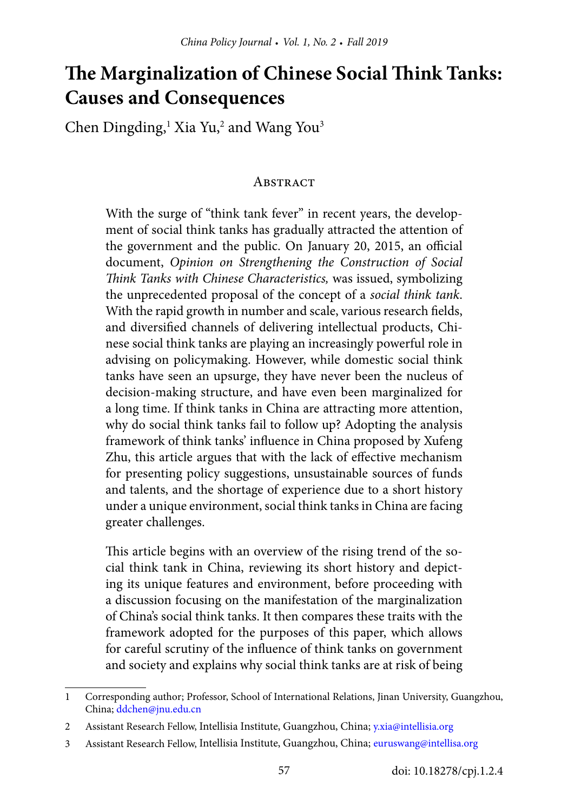# **The Marginalization of Chinese Social Think Tanks: Causes and Consequences**

Chen Dingding,<sup>1</sup> Xia Yu,<sup>2</sup> and Wang You<sup>3</sup>

#### **ABSTRACT**

With the surge of "think tank fever" in recent years, the development of social think tanks has gradually attracted the attention of the government and the public. On January 20, 2015, an official document, *Opinion on Strengthening the Construction of Social Think Tanks with Chinese Characteristics,* was issued, symbolizing the unprecedented proposal of the concept of a *social think tank*. With the rapid growth in number and scale, various research fields, and diversified channels of delivering intellectual products, Chinese social think tanks are playing an increasingly powerful role in advising on policymaking. However, while domestic social think tanks have seen an upsurge, they have never been the nucleus of decision-making structure, and have even been marginalized for a long time. If think tanks in China are attracting more attention, why do social think tanks fail to follow up? Adopting the analysis framework of think tanks' influence in China proposed by Xufeng Zhu, this article argues that with the lack of effective mechanism for presenting policy suggestions, unsustainable sources of funds and talents, and the shortage of experience due to a short history under a unique environment, social think tanks in China are facing greater challenges.

This article begins with an overview of the rising trend of the social think tank in China, reviewing its short history and depicting its unique features and environment, before proceeding with a discussion focusing on the manifestation of the marginalization of China's social think tanks. It then compares these traits with the framework adopted for the purposes of this paper, which allows for careful scrutiny of the influence of think tanks on government and society and explains why social think tanks are at risk of being

<sup>1</sup> Corresponding author; Professor, School of International Relations, Jinan University, Guangzhou, China; [ddchen@jnu.edu.cn](mailto:ddchen@jnu.edu.cn) 

<sup>2</sup> Assistant Research Fellow, Intellisia Institute, Guangzhou, China; [y.xia@intellisia.org](mailto:y.xia@intellisia.org)

<sup>3</sup> Assistant Research Fellow, Intellisia Institute, Guangzhou, China; [euruswang@intellisa.org](mailto:euruswang@intellisa.org)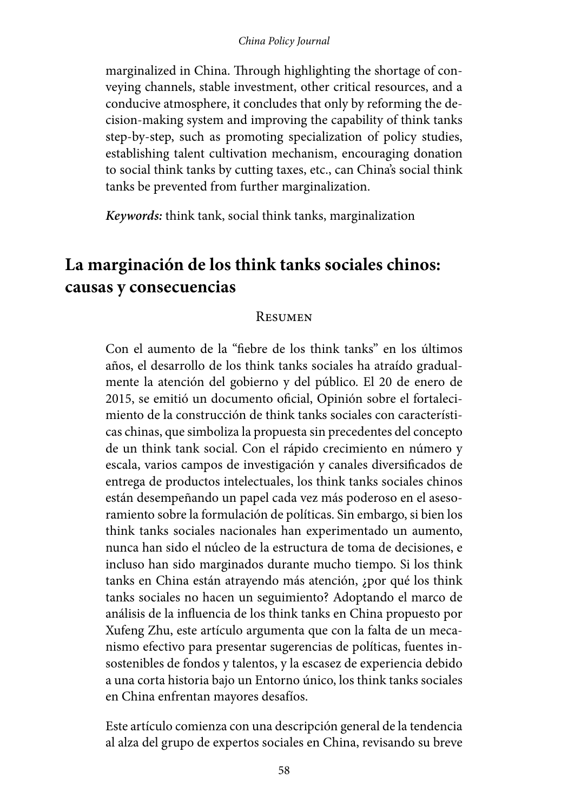#### *China Policy Journal*

marginalized in China. Through highlighting the shortage of conveying channels, stable investment, other critical resources, and a conducive atmosphere, it concludes that only by reforming the decision-making system and improving the capability of think tanks step-by-step, such as promoting specialization of policy studies, establishing talent cultivation mechanism, encouraging donation to social think tanks by cutting taxes, etc., can China's social think tanks be prevented from further marginalization.

*Keywords:* think tank, social think tanks, marginalization

# **La marginación de los think tanks sociales chinos: causas y consecuencias**

#### **RESUMEN**

Con el aumento de la "fiebre de los think tanks" en los últimos años, el desarrollo de los think tanks sociales ha atraído gradualmente la atención del gobierno y del público. El 20 de enero de 2015, se emitió un documento oficial, Opinión sobre el fortalecimiento de la construcción de think tanks sociales con características chinas, que simboliza la propuesta sin precedentes del concepto de un think tank social. Con el rápido crecimiento en número y escala, varios campos de investigación y canales diversificados de entrega de productos intelectuales, los think tanks sociales chinos están desempeñando un papel cada vez más poderoso en el asesoramiento sobre la formulación de políticas. Sin embargo, si bien los think tanks sociales nacionales han experimentado un aumento, nunca han sido el núcleo de la estructura de toma de decisiones, e incluso han sido marginados durante mucho tiempo. Si los think tanks en China están atrayendo más atención, ¿por qué los think tanks sociales no hacen un seguimiento? Adoptando el marco de análisis de la influencia de los think tanks en China propuesto por Xufeng Zhu, este artículo argumenta que con la falta de un mecanismo efectivo para presentar sugerencias de políticas, fuentes insostenibles de fondos y talentos, y la escasez de experiencia debido a una corta historia bajo un Entorno único, los think tanks sociales en China enfrentan mayores desafíos.

Este artículo comienza con una descripción general de la tendencia al alza del grupo de expertos sociales en China, revisando su breve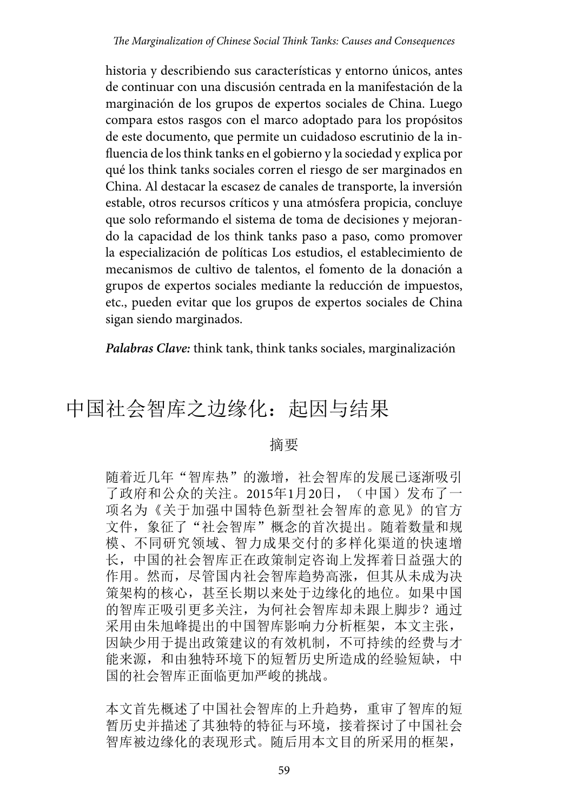historia y describiendo sus características y entorno únicos, antes de continuar con una discusión centrada en la manifestación de la marginación de los grupos de expertos sociales de China. Luego compara estos rasgos con el marco adoptado para los propósitos de este documento, que permite un cuidadoso escrutinio de la influencia de los think tanks en el gobierno y la sociedad y explica por qué los think tanks sociales corren el riesgo de ser marginados en China. Al destacar la escasez de canales de transporte, la inversión estable, otros recursos críticos y una atmósfera propicia, concluye que solo reformando el sistema de toma de decisiones y mejorando la capacidad de los think tanks paso a paso, como promover la especialización de políticas Los estudios, el establecimiento de mecanismos de cultivo de talentos, el fomento de la donación a grupos de expertos sociales mediante la reducción de impuestos, etc., pueden evitar que los grupos de expertos sociales de China sigan siendo marginados.

*Palabras Clave:* think tank, think tanks sociales, marginalización

# 中国社会智库之边缘化:起因与结果

#### 摘要

随着近几年"智库热"的激增,社会智库的发展已逐渐吸引 了政府和公众的关注。2015年1月20日,(中国)发布了一 项名为《关于加强中国特色新型社会智库的意见》的官方 文件, 象征了"社会智库"概念的首次提出。随着数量和规 模、不同研究领域、智力成果交付的多样化渠道的快速增 长,中国的社会智库正在政策制定咨询上发挥着日益强大的 作用。然而,尽管国内社会智库趋势高涨,但其从未成为决 策架构的核心,甚至长期以来处于边缘化的地位。如果中国 的智库正吸引更多关注,为何社会智库却未跟上脚步?通过 采用由朱旭峰提出的中国智库影响力分析框架,本文主张, 因缺少用于提出政策建议的有效机制,不可持续的经费与才 能来源,和由独特环境下的短暂历史所造成的经验短缺,中 国的社会智库正面临更加严峻的挑战。

本文首先概述了中国社会智库的上升趋势,重审了智库的短 暂历史并描述了其独特的特征与环境,接着探讨了中国社会 智库被边缘化的表现形式。随后用本文目的所采用的框架,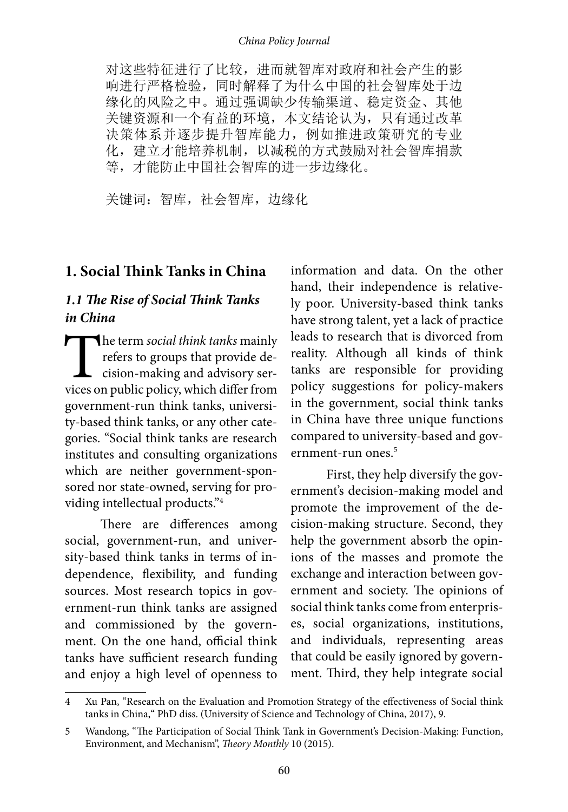#### *China Policy Journal*

对这些特征进行了比较,进而就智库对政府和社会产生的影 响进行严格检验,同时解释了为什么中国的社会智库处于边 缘化的风险之中。通过强调缺少传输渠道、稳定资金、其他 关键资源和一个有益的环境,本文结论认为,只有通过改革 决策体系并逐步提升智库能力,例如推进政策研究的专业 化,建立才能培养机制,以减税的方式鼓励对社会智库捐款 等,才能防止中国社会智库的进一步边缘化。

关键词: 智库, 社会智库, 边缘化

#### **1. Social Think Tanks in China**

#### *1.1 The Rise of Social Think Tanks in China*

The term *social think tanks* mainly<br>refers to groups that provide de-<br>cision-making and advisory ser-<br>vices on public policy, which differ from refers to groups that provide decision-making and advisory services on public policy, which differ from government-run think tanks, university-based think tanks, or any other categories. "Social think tanks are research institutes and consulting organizations which are neither government-sponsored nor state-owned, serving for providing intellectual products."4

There are differences among social, government-run, and university-based think tanks in terms of independence, flexibility, and funding sources. Most research topics in government-run think tanks are assigned and commissioned by the government. On the one hand, official think tanks have sufficient research funding and enjoy a high level of openness to

information and data. On the other hand, their independence is relatively poor. University-based think tanks have strong talent, yet a lack of practice leads to research that is divorced from reality. Although all kinds of think tanks are responsible for providing policy suggestions for policy-makers in the government, social think tanks in China have three unique functions compared to university-based and government-run ones.<sup>5</sup>

First, they help diversify the government's decision-making model and promote the improvement of the decision-making structure. Second, they help the government absorb the opinions of the masses and promote the exchange and interaction between government and society. The opinions of social think tanks come from enterprises, social organizations, institutions, and individuals, representing areas that could be easily ignored by government. Third, they help integrate social

<sup>4</sup> Xu Pan, "Research on the Evaluation and Promotion Strategy of the effectiveness of Social think tanks in China," PhD diss. (University of Science and Technology of China, 2017), 9.

<sup>5</sup> Wandong, "The Participation of Social Think Tank in Government's Decision-Making: Function, Environment, and Mechanism", *Theory Monthly* 10 (2015).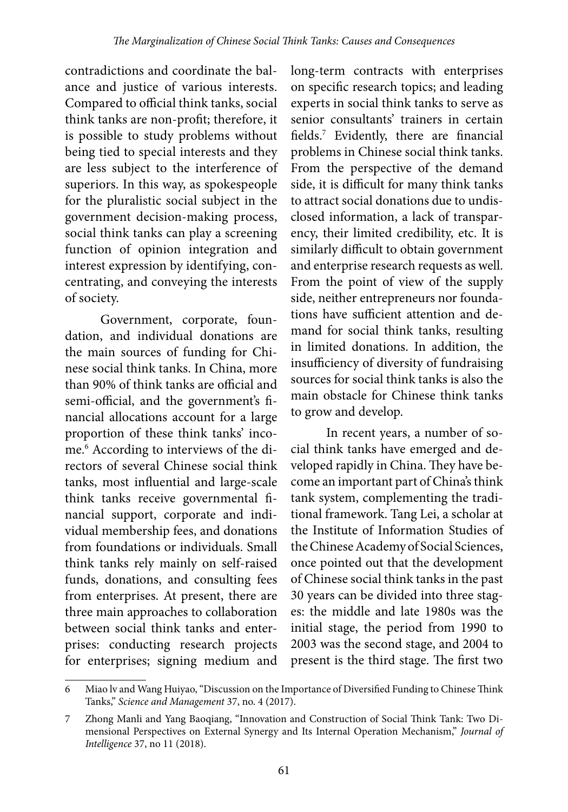contradictions and coordinate the balance and justice of various interests. Compared to official think tanks, social think tanks are non-profit; therefore, it is possible to study problems without being tied to special interests and they are less subject to the interference of superiors. In this way, as spokespeople for the pluralistic social subject in the government decision-making process, social think tanks can play a screening function of opinion integration and interest expression by identifying, concentrating, and conveying the interests of society.

Government, corporate, foundation, and individual donations are the main sources of funding for Chinese social think tanks. In China, more than 90% of think tanks are official and semi-official, and the government's financial allocations account for a large proportion of these think tanks' income.6 According to interviews of the directors of several Chinese social think tanks, most influential and large-scale think tanks receive governmental financial support, corporate and individual membership fees, and donations from foundations or individuals. Small think tanks rely mainly on self-raised funds, donations, and consulting fees from enterprises. At present, there are three main approaches to collaboration between social think tanks and enterprises: conducting research projects for enterprises; signing medium and long-term contracts with enterprises on specific research topics; and leading experts in social think tanks to serve as senior consultants' trainers in certain fields.7 Evidently, there are financial problems in Chinese social think tanks. From the perspective of the demand side, it is difficult for many think tanks to attract social donations due to undisclosed information, a lack of transparency, their limited credibility, etc. It is similarly difficult to obtain government and enterprise research requests as well. From the point of view of the supply side, neither entrepreneurs nor foundations have sufficient attention and demand for social think tanks, resulting in limited donations. In addition, the insufficiency of diversity of fundraising sources for social think tanks is also the main obstacle for Chinese think tanks to grow and develop.

In recent years, a number of social think tanks have emerged and developed rapidly in China. They have become an important part of China's think tank system, complementing the traditional framework. Tang Lei, a scholar at the Institute of Information Studies of the Chinese Academy of Social Sciences, once pointed out that the development of Chinese social think tanks in the past 30 years can be divided into three stages: the middle and late 1980s was the initial stage, the period from 1990 to 2003 was the second stage, and 2004 to present is the third stage. The first two

<sup>6</sup> Miao lv and Wang Huiyao, "Discussion on the Importance of Diversified Funding to Chinese Think Tanks," *Science and Management* 37, no. 4 (2017).

<sup>7</sup> Zhong Manli and Yang Baoqiang, "Innovation and Construction of Social Think Tank: Two Dimensional Perspectives on External Synergy and Its Internal Operation Mechanism," *Journal of Intelligence* 37, no 11 (2018).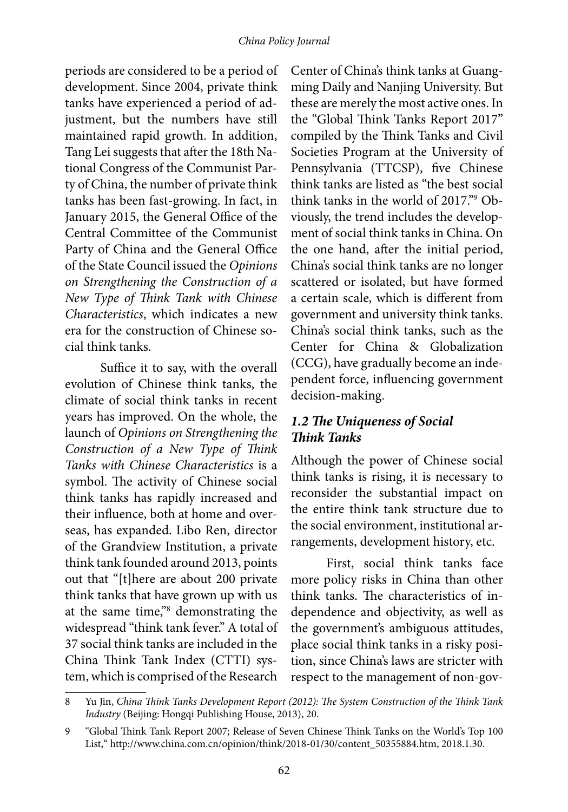periods are considered to be a period of development. Since 2004, private think tanks have experienced a period of adjustment, but the numbers have still maintained rapid growth. In addition, Tang Lei suggests that after the 18th National Congress of the Communist Party of China, the number of private think tanks has been fast-growing. In fact, in January 2015, the General Office of the Central Committee of the Communist Party of China and the General Office of the State Council issued the *Opinions on Strengthening the Construction of a New Type of Think Tank with Chinese Characteristics*, which indicates a new era for the construction of Chinese social think tanks.

Suffice it to say, with the overall evolution of Chinese think tanks, the climate of social think tanks in recent years has improved. On the whole, the launch of *Opinions on Strengthening the Construction of a New Type of Think Tanks with Chinese Characteristics* is a symbol. The activity of Chinese social think tanks has rapidly increased and their influence, both at home and overseas, has expanded. Libo Ren, director of the Grandview Institution, a private think tank founded around 2013, points out that "[t]here are about 200 private think tanks that have grown up with us at the same time,"8 demonstrating the widespread "think tank fever." A total of 37 social think tanks are included in the China Think Tank Index (CTTI) system, which is comprised of the Research

Center of China's think tanks at Guangming Daily and Nanjing University. But these are merely the most active ones. In the "Global Think Tanks Report 2017" compiled by the Think Tanks and Civil Societies Program at the University of Pennsylvania (TTCSP), five Chinese think tanks are listed as "the best social think tanks in the world of 2017."9 Obviously, the trend includes the development of social think tanks in China. On the one hand, after the initial period, China's social think tanks are no longer scattered or isolated, but have formed a certain scale, which is different from government and university think tanks. China's social think tanks, such as the Center for China & Globalization (CCG), have gradually become an independent force, influencing government decision-making.

#### *1.2 The Uniqueness of Social Think Tanks*

Although the power of Chinese social think tanks is rising, it is necessary to reconsider the substantial impact on the entire think tank structure due to the social environment, institutional arrangements, development history, etc.

First, social think tanks face more policy risks in China than other think tanks. The characteristics of independence and objectivity, as well as the government's ambiguous attitudes, place social think tanks in a risky position, since China's laws are stricter with respect to the management of non-gov-

<sup>8</sup> Yu Jin, *China Think Tanks Development Report (2012): The System Construction of the Think Tank Industry* (Beijing: Hongqi Publishing House, 2013), 20.

<sup>9</sup> "Global Think Tank Report 2007; Release of Seven Chinese Think Tanks on the World's Top 100 List," http://www.china.com.cn/opinion/think/2018-01/30/content\_50355884.htm, 2018.1.30.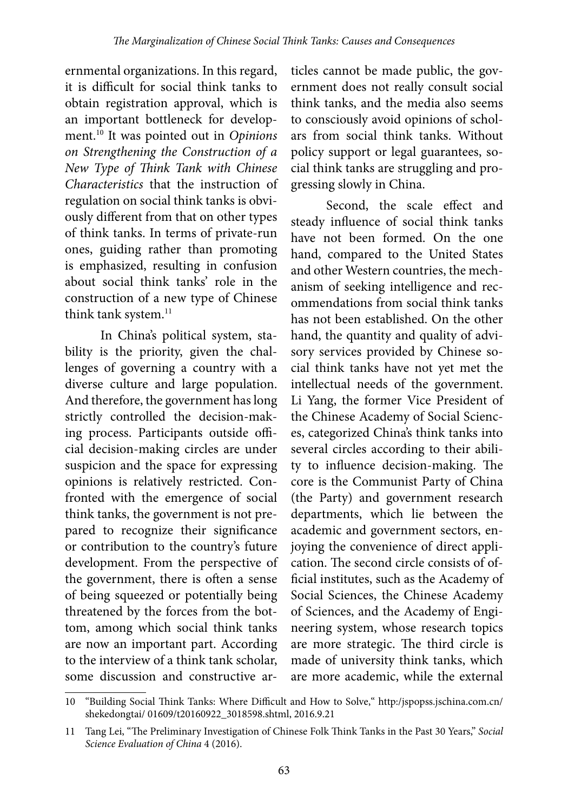ernmental organizations. In this regard, it is difficult for social think tanks to obtain registration approval, which is an important bottleneck for development.10 It was pointed out in *Opinions on Strengthening the Construction of a New Type of Think Tank with Chinese Characteristics* that the instruction of regulation on social think tanks is obviously different from that on other types of think tanks. In terms of private-run ones, guiding rather than promoting is emphasized, resulting in confusion about social think tanks' role in the construction of a new type of Chinese think tank system.<sup>11</sup>

In China's political system, stability is the priority, given the challenges of governing a country with a diverse culture and large population. And therefore, the government has long strictly controlled the decision-making process. Participants outside official decision-making circles are under suspicion and the space for expressing opinions is relatively restricted. Confronted with the emergence of social think tanks, the government is not prepared to recognize their significance or contribution to the country's future development. From the perspective of the government, there is often a sense of being squeezed or potentially being threatened by the forces from the bottom, among which social think tanks are now an important part. According to the interview of a think tank scholar, some discussion and constructive ar-

ticles cannot be made public, the government does not really consult social think tanks, and the media also seems to consciously avoid opinions of scholars from social think tanks. Without policy support or legal guarantees, social think tanks are struggling and progressing slowly in China.

Second, the scale effect and steady influence of social think tanks have not been formed. On the one hand, compared to the United States and other Western countries, the mechanism of seeking intelligence and recommendations from social think tanks has not been established. On the other hand, the quantity and quality of advisory services provided by Chinese social think tanks have not yet met the intellectual needs of the government. Li Yang, the former Vice President of the Chinese Academy of Social Sciences, categorized China's think tanks into several circles according to their ability to influence decision-making. The core is the Communist Party of China (the Party) and government research departments, which lie between the academic and government sectors, enjoying the convenience of direct application. The second circle consists of official institutes, such as the Academy of Social Sciences, the Chinese Academy of Sciences, and the Academy of Engineering system, whose research topics are more strategic. The third circle is made of university think tanks, which are more academic, while the external

<sup>10</sup> "Building Social Think Tanks: Where Difficult and How to Solve," http:/jspopss.jschina.com.cn/ shekedongtai/ 01609/t20160922\_3018598.shtml, 2016.9.21

<sup>11</sup> Tang Lei, "The Preliminary Investigation of Chinese Folk Think Tanks in the Past 30 Years," *Social Science Evaluation of China* 4 (2016).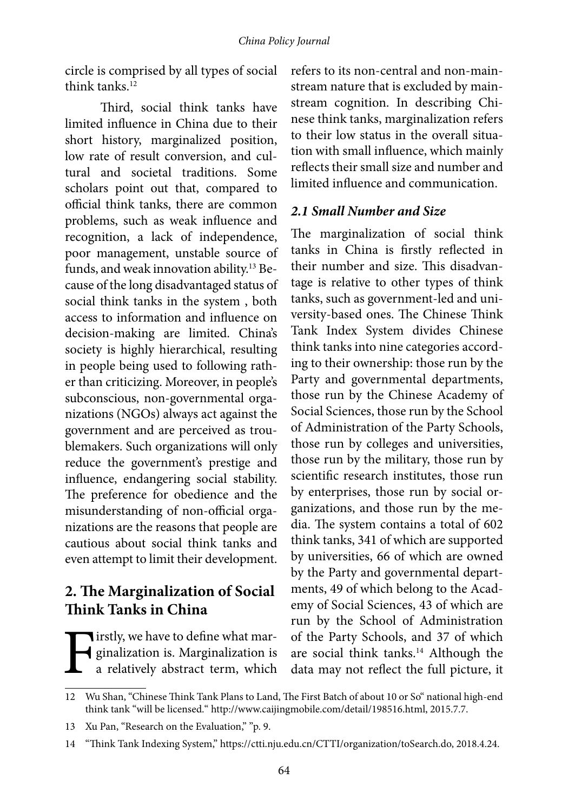circle is comprised by all types of social think tanks.<sup>12</sup>

Third, social think tanks have limited influence in China due to their short history, marginalized position, low rate of result conversion, and cultural and societal traditions. Some scholars point out that, compared to official think tanks, there are common problems, such as weak influence and recognition, a lack of independence, poor management, unstable source of funds, and weak innovation ability.13 Because of the long disadvantaged status of social think tanks in the system , both access to information and influence on decision-making are limited. China's society is highly hierarchical, resulting in people being used to following rather than criticizing. Moreover, in people's subconscious, non-governmental organizations (NGOs) always act against the government and are perceived as troublemakers. Such organizations will only reduce the government's prestige and influence, endangering social stability. The preference for obedience and the misunderstanding of non-official organizations are the reasons that people are cautious about social think tanks and even attempt to limit their development.

## **2. The Marginalization of Social Think Tanks in China**

Firstly, we have to define what marginalization is. Marginalization is<br>a relatively abstract term, which ginalization is. Marginalization is a relatively abstract term, which

refers to its non-central and non-mainstream nature that is excluded by mainstream cognition. In describing Chinese think tanks, marginalization refers to their low status in the overall situation with small influence, which mainly reflects their small size and number and limited influence and communication.

#### *2.1 Small Number and Size*

The marginalization of social think tanks in China is firstly reflected in their number and size. This disadvantage is relative to other types of think tanks, such as government-led and university-based ones. The Chinese Think Tank Index System divides Chinese think tanks into nine categories according to their ownership: those run by the Party and governmental departments, those run by the Chinese Academy of Social Sciences, those run by the School of Administration of the Party Schools, those run by colleges and universities, those run by the military, those run by scientific research institutes, those run by enterprises, those run by social organizations, and those run by the media. The system contains a total of 602 think tanks, 341 of which are supported by universities, 66 of which are owned by the Party and governmental departments, 49 of which belong to the Academy of Social Sciences, 43 of which are run by the School of Administration of the Party Schools, and 37 of which are social think tanks.<sup>14</sup> Although the data may not reflect the full picture, it

<sup>12</sup> Wu Shan, "Chinese Think Tank Plans to Land, The First Batch of about 10 or So" national high-end think tank "will be licensed." http://www.caijingmobile.com/detail/198516.html, 2015.7.7.

<sup>13</sup> Xu Pan, "Research on the Evaluation," "p. 9.

<sup>14</sup> "Think Tank Indexing System," https://ctti.nju.edu.cn/CTTI/organization/toSearch.do, 2018.4.24.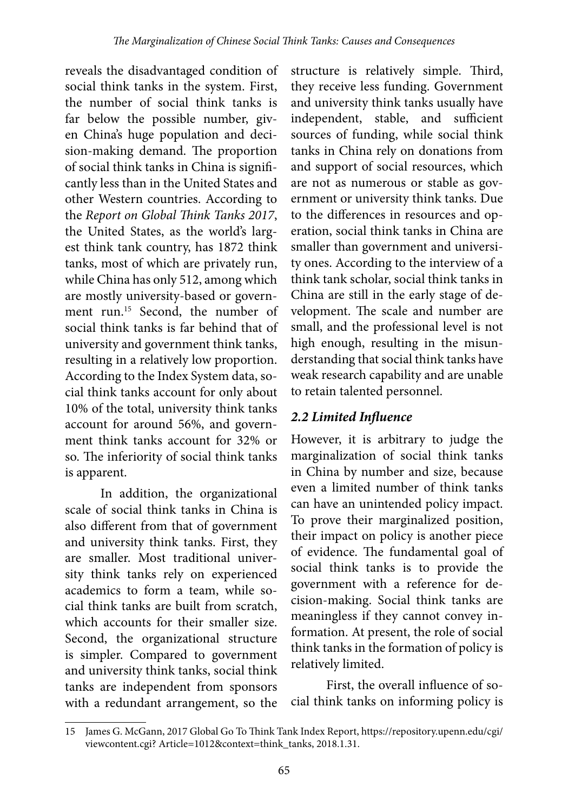reveals the disadvantaged condition of social think tanks in the system. First, the number of social think tanks is far below the possible number, given China's huge population and decision-making demand. The proportion of social think tanks in China is significantly less than in the United States and other Western countries. According to the *Report on Global Think Tanks 2017*, the United States, as the world's largest think tank country, has 1872 think tanks, most of which are privately run, while China has only 512, among which are mostly university-based or government run.15 Second, the number of social think tanks is far behind that of university and government think tanks, resulting in a relatively low proportion. According to the Index System data, social think tanks account for only about 10% of the total, university think tanks account for around 56%, and government think tanks account for 32% or so. The inferiority of social think tanks is apparent.

In addition, the organizational scale of social think tanks in China is also different from that of government and university think tanks. First, they are smaller. Most traditional university think tanks rely on experienced academics to form a team, while social think tanks are built from scratch, which accounts for their smaller size. Second, the organizational structure is simpler. Compared to government and university think tanks, social think tanks are independent from sponsors with a redundant arrangement, so the

structure is relatively simple. Third, they receive less funding. Government and university think tanks usually have independent, stable, and sufficient sources of funding, while social think tanks in China rely on donations from and support of social resources, which are not as numerous or stable as government or university think tanks. Due to the differences in resources and operation, social think tanks in China are smaller than government and university ones. According to the interview of a think tank scholar, social think tanks in China are still in the early stage of development. The scale and number are small, and the professional level is not high enough, resulting in the misunderstanding that social think tanks have weak research capability and are unable to retain talented personnel.

### *2.2 Limited Influence*

However, it is arbitrary to judge the marginalization of social think tanks in China by number and size, because even a limited number of think tanks can have an unintended policy impact. To prove their marginalized position, their impact on policy is another piece of evidence. The fundamental goal of social think tanks is to provide the government with a reference for decision-making. Social think tanks are meaningless if they cannot convey information. At present, the role of social think tanks in the formation of policy is relatively limited.

First, the overall influence of social think tanks on informing policy is

<sup>15</sup> James G. McGann, 2017 Global Go To Think Tank Index Report, https://repository.upenn.edu/cgi/ viewcontent.cgi? Article=1012&context=think\_tanks, 2018.1.31.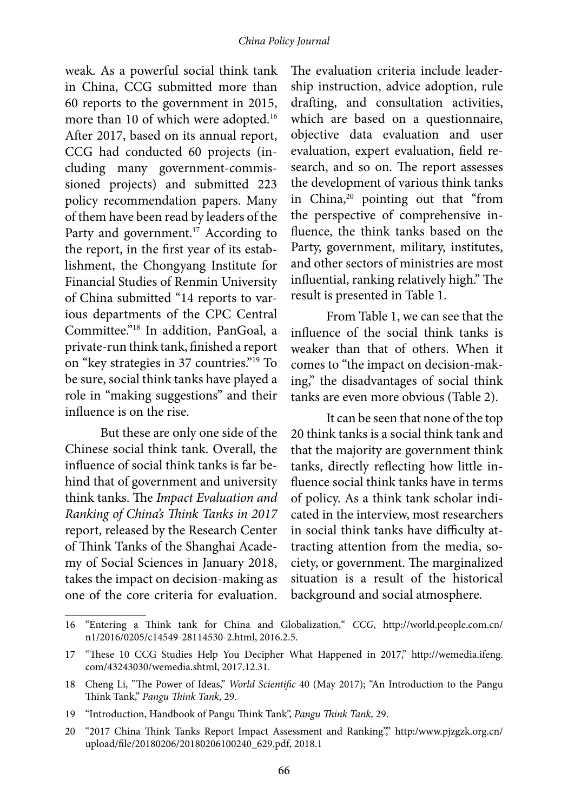weak. As a powerful social think tank in China, CCG submitted more than 60 reports to the government in 2015, more than 10 of which were adopted.<sup>16</sup> After 2017, based on its annual report, CCG had conducted 60 projects (including many government-commissioned projects) and submitted 223 policy recommendation papers. Many of them have been read by leaders of the Party and government.<sup>17</sup> According to the report, in the first year of its establishment, the Chongyang Institute for Financial Studies of Renmin University of China submitted "14 reports to various departments of the CPC Central Committee."18 In addition, PanGoal, a private-run think tank, finished a report on "key strategies in 37 countries."19 To be sure, social think tanks have played a role in "making suggestions" and their influence is on the rise.

But these are only one side of the Chinese social think tank. Overall, the influence of social think tanks is far behind that of government and university think tanks. The *Impact Evaluation and Ranking of China's Think Tanks in 2017* report, released by the Research Center of Think Tanks of the Shanghai Academy of Social Sciences in January 2018, takes the impact on decision-making as one of the core criteria for evaluation.

The evaluation criteria include leadership instruction, advice adoption, rule drafting, and consultation activities, which are based on a questionnaire, objective data evaluation and user evaluation, expert evaluation, field research, and so on. The report assesses the development of various think tanks in China,<sup>20</sup> pointing out that "from the perspective of comprehensive influence, the think tanks based on the Party, government, military, institutes, and other sectors of ministries are most influential, ranking relatively high." The result is presented in Table 1.

From Table 1, we can see that the influence of the social think tanks is weaker than that of others. When it comes to "the impact on decision-making," the disadvantages of social think tanks are even more obvious (Table 2).

It can be seen that none of the top 20 think tanks is a social think tank and that the majority are government think tanks, directly reflecting how little influence social think tanks have in terms of policy. As a think tank scholar indicated in the interview, most researchers in social think tanks have difficulty attracting attention from the media, society, or government. The marginalized situation is a result of the historical background and social atmosphere.

<sup>16</sup> "Entering a Think tank for China and Globalization," *CCG*, http://world.people.com.cn/ n1/2016/0205/c14549-28114530-2.html, 2016.2.5.

<sup>17</sup> "These 10 CCG Studies Help You Decipher What Happened in 2017," http://wemedia.ifeng. com/43243030/wemedia.shtml, 2017.12.31.

<sup>18</sup> Cheng Li, "The Power of Ideas," *World Scientific* 40 (May 2017); "An Introduction to the Pangu Think Tank," *Pangu Think Tank,* 29.

<sup>19</sup> "Introduction, Handbook of Pangu Think Tank", *Pangu Think Tank,* 29.

<sup>20</sup> "2017 China Think Tanks Report Impact Assessment and Ranking"," http:/www.pjzgzk.org.cn/ upload/file/20180206/20180206100240\_629.pdf, 2018.1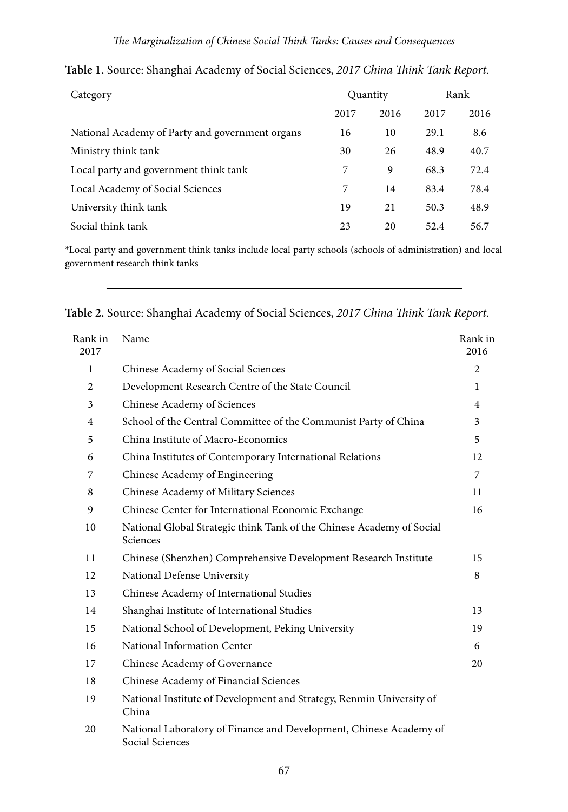| Category                                        | Quantity |      | Rank |      |
|-------------------------------------------------|----------|------|------|------|
|                                                 | 2017     | 2016 | 2017 | 2016 |
| National Academy of Party and government organs | 16       | 10   | 29.1 | 8.6  |
| Ministry think tank                             | 30       | 26   | 48.9 | 40.7 |
| Local party and government think tank           | 7        | 9    | 68.3 | 72.4 |
| Local Academy of Social Sciences                | 7        | 14   | 83.4 | 78.4 |
| University think tank                           | 19       | 21   | 50.3 | 48.9 |
| Social think tank                               | 23       | 20   | 52.4 | 56.7 |

**Table 1.** Source: Shanghai Academy of Social Sciences, *2017 China Think Tank Report.*

\*Local party and government think tanks include local party schools (schools of administration) and local government research think tanks

**Table 2.** Source: Shanghai Academy of Social Sciences, *2017 China Think Tank Report.*

| Rank in<br>2017 | Name                                                                                  | Rank in<br>2016 |
|-----------------|---------------------------------------------------------------------------------------|-----------------|
| $\mathbf{1}$    | Chinese Academy of Social Sciences                                                    | 2               |
| $\overline{c}$  | Development Research Centre of the State Council                                      | $\mathbf{1}$    |
| 3               | Chinese Academy of Sciences                                                           | 4               |
| $\overline{4}$  | School of the Central Committee of the Communist Party of China                       | 3               |
| 5               | China Institute of Macro-Economics                                                    | 5               |
| 6               | China Institutes of Contemporary International Relations                              | 12              |
| 7               | Chinese Academy of Engineering                                                        | 7               |
| 8               | Chinese Academy of Military Sciences                                                  | 11              |
| 9               | Chinese Center for International Economic Exchange                                    | 16              |
| 10              | National Global Strategic think Tank of the Chinese Academy of Social<br>Sciences     |                 |
| 11              | Chinese (Shenzhen) Comprehensive Development Research Institute                       | 15              |
| 12              | National Defense University                                                           | 8               |
| 13              | Chinese Academy of International Studies                                              |                 |
| 14              | Shanghai Institute of International Studies                                           | 13              |
| 15              | National School of Development, Peking University                                     | 19              |
| 16              | National Information Center                                                           | 6               |
| 17              | Chinese Academy of Governance                                                         | 20              |
| 18              | Chinese Academy of Financial Sciences                                                 |                 |
| 19              | National Institute of Development and Strategy, Renmin University of<br>China         |                 |
| 20              | National Laboratory of Finance and Development, Chinese Academy of<br>Social Sciences |                 |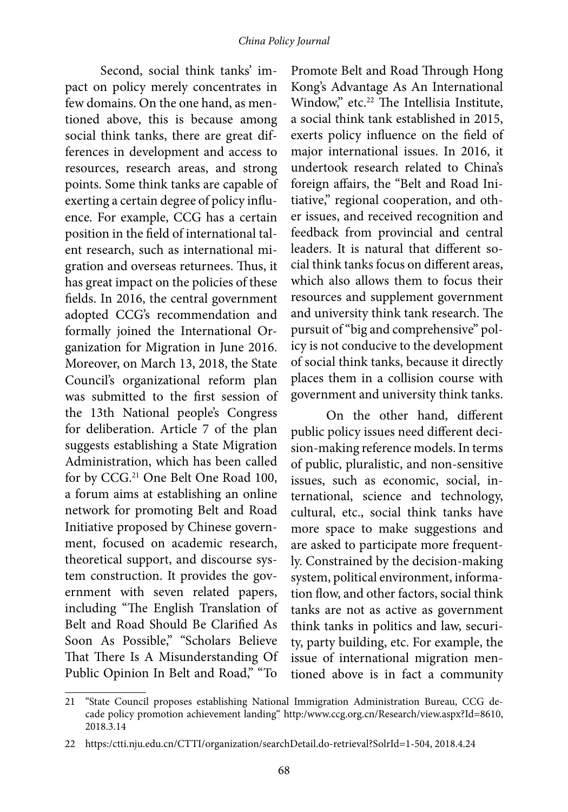Second, social think tanks' impact on policy merely concentrates in few domains. On the one hand, as mentioned above, this is because among social think tanks, there are great differences in development and access to resources, research areas, and strong points. Some think tanks are capable of exerting a certain degree of policy influence. For example, CCG has a certain position in the field of international talent research, such as international migration and overseas returnees. Thus, it has great impact on the policies of these fields. In 2016, the central government adopted CCG's recommendation and formally joined the International Organization for Migration in June 2016. Moreover, on March 13, 2018, the State Council's organizational reform plan was submitted to the first session of the 13th National people's Congress for deliberation. Article 7 of the plan suggests establishing a State Migration Administration, which has been called for by CCG.<sup>21</sup> One Belt One Road 100, a forum aims at establishing an online network for promoting Belt and Road Initiative proposed by Chinese government, focused on academic research, theoretical support, and discourse system construction. It provides the government with seven related papers, including "The English Translation of Belt and Road Should Be Clarified As Soon As Possible," "Scholars Believe That There Is A Misunderstanding Of Public Opinion In Belt and Road," "To

Promote Belt and Road Through Hong Kong's Advantage As An International Window," etc.<sup>22</sup> The Intellisia Institute, a social think tank established in 2015, exerts policy influence on the field of major international issues. In 2016, it undertook research related to China's foreign affairs, the "Belt and Road Initiative," regional cooperation, and other issues, and received recognition and feedback from provincial and central leaders. It is natural that different social think tanks focus on different areas, which also allows them to focus their resources and supplement government and university think tank research. The pursuit of "big and comprehensive" policy is not conducive to the development of social think tanks, because it directly places them in a collision course with government and university think tanks.

On the other hand, different public policy issues need different decision-making reference models. In terms of public, pluralistic, and non-sensitive issues, such as economic, social, international, science and technology, cultural, etc., social think tanks have more space to make suggestions and are asked to participate more frequently. Constrained by the decision-making system, political environment, information flow, and other factors, social think tanks are not as active as government think tanks in politics and law, security, party building, etc. For example, the issue of international migration mentioned above is in fact a community

<sup>21</sup> "State Council proposes establishing National Immigration Administration Bureau, CCG decade policy promotion achievement landing" http:/www.ccg.org.cn/Research/view.aspx?Id=8610, 2018.3.14

<sup>22</sup> https:/ctti.nju.edu.cn/CTTI/organization/searchDetail.do-retrieval?SolrId=1-504, 2018.4.24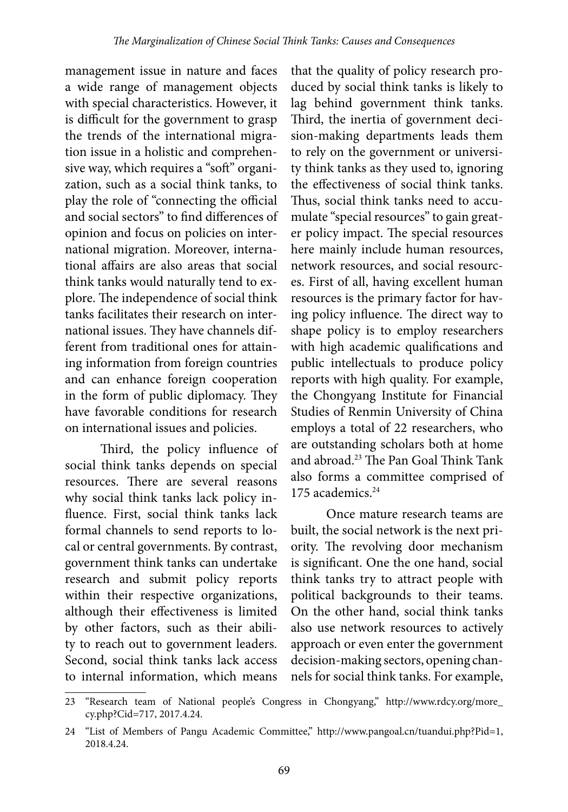management issue in nature and faces a wide range of management objects with special characteristics. However, it is difficult for the government to grasp the trends of the international migration issue in a holistic and comprehensive way, which requires a "soft" organization, such as a social think tanks, to play the role of "connecting the official and social sectors" to find differences of opinion and focus on policies on international migration. Moreover, international affairs are also areas that social think tanks would naturally tend to explore. The independence of social think tanks facilitates their research on international issues. They have channels different from traditional ones for attaining information from foreign countries and can enhance foreign cooperation in the form of public diplomacy. They have favorable conditions for research on international issues and policies.

Third, the policy influence of social think tanks depends on special resources. There are several reasons why social think tanks lack policy influence. First, social think tanks lack formal channels to send reports to local or central governments. By contrast, government think tanks can undertake research and submit policy reports within their respective organizations, although their effectiveness is limited by other factors, such as their ability to reach out to government leaders. Second, social think tanks lack access to internal information, which means

that the quality of policy research produced by social think tanks is likely to lag behind government think tanks. Third, the inertia of government decision-making departments leads them to rely on the government or university think tanks as they used to, ignoring the effectiveness of social think tanks. Thus, social think tanks need to accumulate "special resources" to gain greater policy impact. The special resources here mainly include human resources, network resources, and social resources. First of all, having excellent human resources is the primary factor for having policy influence. The direct way to shape policy is to employ researchers with high academic qualifications and public intellectuals to produce policy reports with high quality. For example, the Chongyang Institute for Financial Studies of Renmin University of China employs a total of 22 researchers, who are outstanding scholars both at home and abroad.23 The Pan Goal Think Tank also forms a committee comprised of 175 academics.<sup>24</sup>

Once mature research teams are built, the social network is the next priority. The revolving door mechanism is significant. One the one hand, social think tanks try to attract people with political backgrounds to their teams. On the other hand, social think tanks also use network resources to actively approach or even enter the government decision-making sectors, opening channels for social think tanks. For example,

<sup>23</sup> "Research team of National people's Congress in Chongyang," http://www.rdcy.org/more\_ cy.php?Cid=717, 2017.4.24.

<sup>24</sup> "List of Members of Pangu Academic Committee," http://www.pangoal.cn/tuandui.php?Pid=1, 2018.4.24.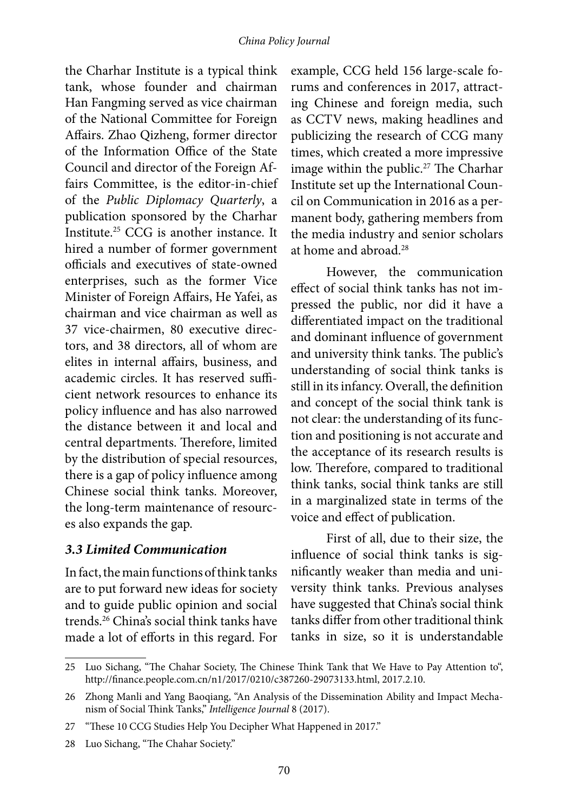the Charhar Institute is a typical think tank, whose founder and chairman Han Fangming served as vice chairman of the National Committee for Foreign Affairs. Zhao Qizheng, former director of the Information Office of the State Council and director of the Foreign Affairs Committee, is the editor-in-chief of the *Public Diplomacy Quarterly*, a publication sponsored by the Charhar Institute.25 CCG is another instance. It hired a number of former government officials and executives of state-owned enterprises, such as the former Vice Minister of Foreign Affairs, He Yafei, as chairman and vice chairman as well as 37 vice-chairmen, 80 executive directors, and 38 directors, all of whom are elites in internal affairs, business, and academic circles. It has reserved sufficient network resources to enhance its policy influence and has also narrowed the distance between it and local and central departments. Therefore, limited by the distribution of special resources, there is a gap of policy influence among Chinese social think tanks. Moreover, the long-term maintenance of resources also expands the gap.

#### *3.3 Limited Communication*

In fact, the main functions of think tanks are to put forward new ideas for society and to guide public opinion and social trends.26 China's social think tanks have made a lot of efforts in this regard. For example, CCG held 156 large-scale forums and conferences in 2017, attracting Chinese and foreign media, such as CCTV news, making headlines and publicizing the research of CCG many times, which created a more impressive image within the public.<sup>27</sup> The Charhar Institute set up the International Council on Communication in 2016 as a permanent body, gathering members from the media industry and senior scholars at home and abroad.28

However, the communication effect of social think tanks has not impressed the public, nor did it have a differentiated impact on the traditional and dominant influence of government and university think tanks. The public's understanding of social think tanks is still in its infancy. Overall, the definition and concept of the social think tank is not clear: the understanding of its function and positioning is not accurate and the acceptance of its research results is low. Therefore, compared to traditional think tanks, social think tanks are still in a marginalized state in terms of the voice and effect of publication.

First of all, due to their size, the influence of social think tanks is significantly weaker than media and university think tanks. Previous analyses have suggested that China's social think tanks differ from other traditional think tanks in size, so it is understandable

<sup>25</sup> Luo Sichang, "The Chahar Society, The Chinese Think Tank that We Have to Pay Attention to", http://finance.people.com.cn/n1/2017/0210/c387260-29073133.html, 2017.2.10.

<sup>26</sup> Zhong Manli and Yang Baoqiang, "An Analysis of the Dissemination Ability and Impact Mechanism of Social Think Tanks," *Intelligence Journal* 8 (2017).

<sup>27</sup> "These 10 CCG Studies Help You Decipher What Happened in 2017."

<sup>28</sup> Luo Sichang, "The Chahar Society."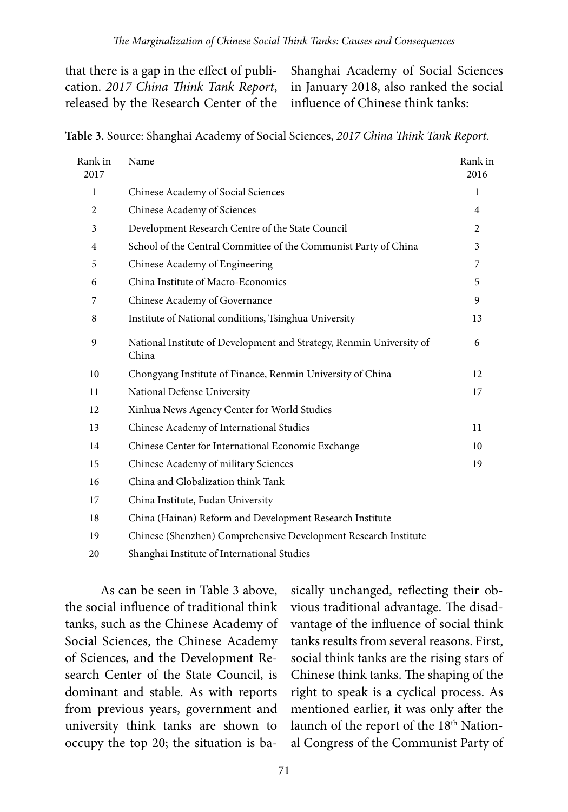that there is a gap in the effect of publication. *2017 China Think Tank Report*, released by the Research Center of the Shanghai Academy of Social Sciences in January 2018, also ranked the social influence of Chinese think tanks:

**Table 3.** Source: Shanghai Academy of Social Sciences, *2017 China Think Tank Report.*

| Rank in<br>2017 | Name                                                                          | Rank in<br>2016 |
|-----------------|-------------------------------------------------------------------------------|-----------------|
| $\mathbf{1}$    | Chinese Academy of Social Sciences                                            | 1               |
| 2               | Chinese Academy of Sciences                                                   | 4               |
| 3               | Development Research Centre of the State Council                              | 2               |
| $\overline{4}$  | School of the Central Committee of the Communist Party of China               | 3               |
| 5               | Chinese Academy of Engineering                                                | 7               |
| 6               | China Institute of Macro-Economics                                            | 5               |
| 7               | Chinese Academy of Governance                                                 | 9               |
| 8               | Institute of National conditions, Tsinghua University                         | 13              |
| 9               | National Institute of Development and Strategy, Renmin University of<br>China | 6               |
| 10              | Chongyang Institute of Finance, Renmin University of China                    | 12              |
| 11              | National Defense University                                                   | 17              |
| 12              | Xinhua News Agency Center for World Studies                                   |                 |
| 13              | Chinese Academy of International Studies                                      | 11              |
| 14              | Chinese Center for International Economic Exchange                            | 10              |
| 15              | Chinese Academy of military Sciences                                          | 19              |
| 16              | China and Globalization think Tank                                            |                 |
| 17              | China Institute, Fudan University                                             |                 |
| 18              | China (Hainan) Reform and Development Research Institute                      |                 |
| 19              | Chinese (Shenzhen) Comprehensive Development Research Institute               |                 |

20 Shanghai Institute of International Studies

As can be seen in Table 3 above, the social influence of traditional think tanks, such as the Chinese Academy of Social Sciences, the Chinese Academy of Sciences, and the Development Research Center of the State Council, is dominant and stable. As with reports from previous years, government and university think tanks are shown to occupy the top 20; the situation is ba-

sically unchanged, reflecting their obvious traditional advantage. The disadvantage of the influence of social think tanks results from several reasons. First, social think tanks are the rising stars of Chinese think tanks. The shaping of the right to speak is a cyclical process. As mentioned earlier, it was only after the launch of the report of the 18<sup>th</sup> National Congress of the Communist Party of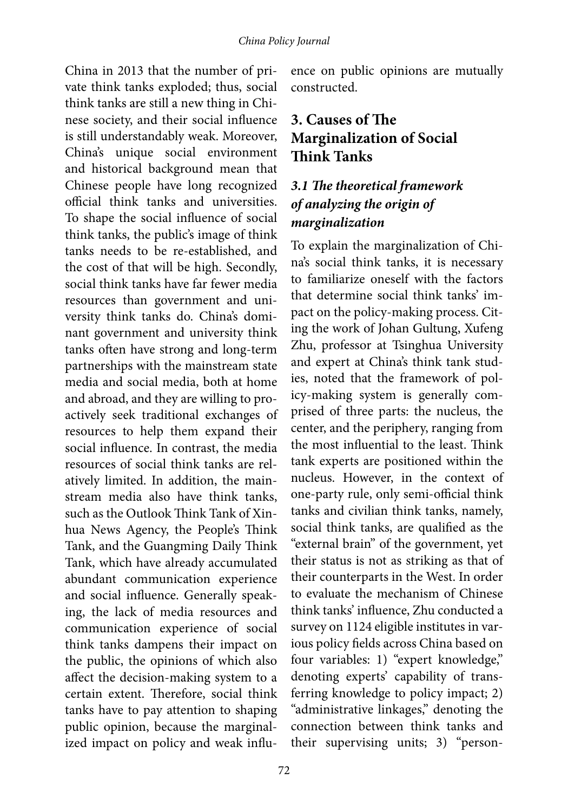China in 2013 that the number of private think tanks exploded; thus, social think tanks are still a new thing in Chinese society, and their social influence is still understandably weak. Moreover, China's unique social environment and historical background mean that Chinese people have long recognized official think tanks and universities. To shape the social influence of social think tanks, the public's image of think tanks needs to be re-established, and the cost of that will be high. Secondly, social think tanks have far fewer media resources than government and university think tanks do. China's dominant government and university think tanks often have strong and long-term partnerships with the mainstream state media and social media, both at home and abroad, and they are willing to proactively seek traditional exchanges of resources to help them expand their social influence. In contrast, the media resources of social think tanks are relatively limited. In addition, the mainstream media also have think tanks, such as the Outlook Think Tank of Xinhua News Agency, the People's Think Tank, and the Guangming Daily Think Tank, which have already accumulated abundant communication experience and social influence. Generally speaking, the lack of media resources and communication experience of social think tanks dampens their impact on the public, the opinions of which also affect the decision-making system to a certain extent. Therefore, social think tanks have to pay attention to shaping public opinion, because the marginalized impact on policy and weak influence on public opinions are mutually constructed.

# **3. Causes of The Marginalization of Social Think Tanks**

### *3.1 The theoretical framework of analyzing the origin of marginalization*

To explain the marginalization of China's social think tanks, it is necessary to familiarize oneself with the factors that determine social think tanks' impact on the policy-making process. Citing the work of Johan Gultung, Xufeng Zhu, professor at Tsinghua University and expert at China's think tank studies, noted that the framework of policy-making system is generally comprised of three parts: the nucleus, the center, and the periphery, ranging from the most influential to the least. Think tank experts are positioned within the nucleus. However, in the context of one-party rule, only semi-official think tanks and civilian think tanks, namely, social think tanks, are qualified as the "external brain" of the government, yet their status is not as striking as that of their counterparts in the West. In order to evaluate the mechanism of Chinese think tanks' influence, Zhu conducted a survey on 1124 eligible institutes in various policy fields across China based on four variables: 1) "expert knowledge," denoting experts' capability of transferring knowledge to policy impact; 2) "administrative linkages," denoting the connection between think tanks and their supervising units; 3) "person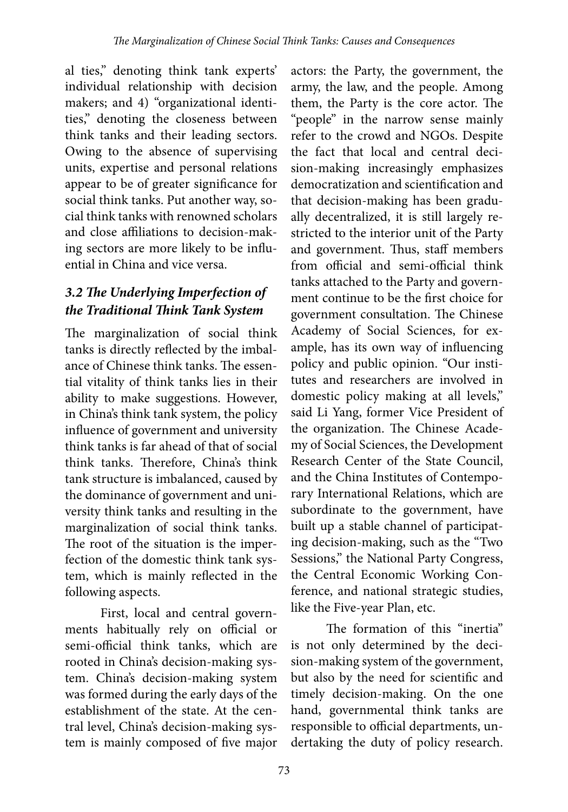al ties," denoting think tank experts' individual relationship with decision makers; and 4) "organizational identities," denoting the closeness between think tanks and their leading sectors. Owing to the absence of supervising units, expertise and personal relations appear to be of greater significance for social think tanks. Put another way, social think tanks with renowned scholars and close affiliations to decision-making sectors are more likely to be influential in China and vice versa.

## *3.2 The Underlying Imperfection of the Traditional Think Tank System*

The marginalization of social think tanks is directly reflected by the imbalance of Chinese think tanks. The essential vitality of think tanks lies in their ability to make suggestions. However, in China's think tank system, the policy influence of government and university think tanks is far ahead of that of social think tanks. Therefore, China's think tank structure is imbalanced, caused by the dominance of government and university think tanks and resulting in the marginalization of social think tanks. The root of the situation is the imperfection of the domestic think tank system, which is mainly reflected in the following aspects.

First, local and central governments habitually rely on official or semi-official think tanks, which are rooted in China's decision-making system. China's decision-making system was formed during the early days of the establishment of the state. At the central level, China's decision-making system is mainly composed of five major

actors: the Party, the government, the army, the law, and the people. Among them, the Party is the core actor. The "people" in the narrow sense mainly refer to the crowd and NGOs. Despite the fact that local and central decision-making increasingly emphasizes democratization and scientification and that decision-making has been gradually decentralized, it is still largely restricted to the interior unit of the Party and government. Thus, staff members from official and semi-official think tanks attached to the Party and government continue to be the first choice for government consultation. The Chinese Academy of Social Sciences, for example, has its own way of influencing policy and public opinion. "Our institutes and researchers are involved in domestic policy making at all levels," said Li Yang, former Vice President of the organization. The Chinese Academy of Social Sciences, the Development Research Center of the State Council, and the China Institutes of Contemporary International Relations, which are subordinate to the government, have built up a stable channel of participating decision-making, such as the "Two Sessions," the National Party Congress, the Central Economic Working Conference, and national strategic studies, like the Five-year Plan, etc.

The formation of this "inertia" is not only determined by the decision-making system of the government, but also by the need for scientific and timely decision-making. On the one hand, governmental think tanks are responsible to official departments, undertaking the duty of policy research.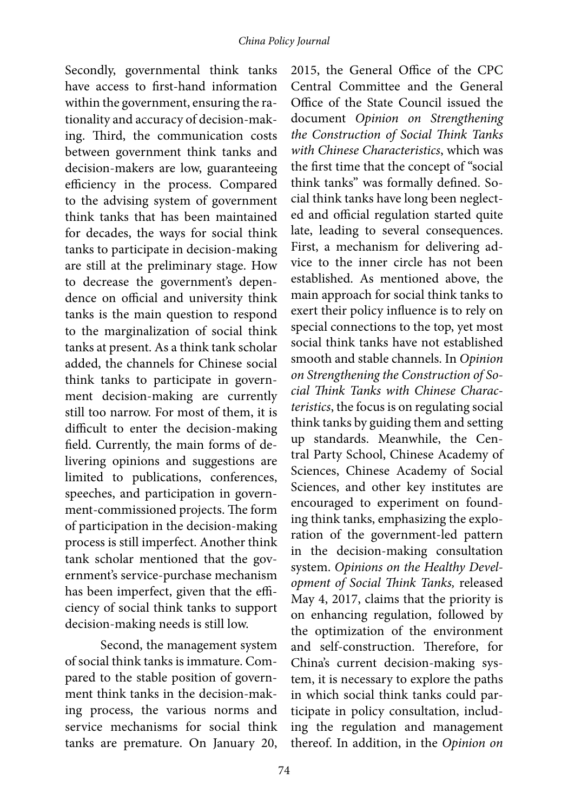Secondly, governmental think tanks have access to first-hand information within the government, ensuring the rationality and accuracy of decision-making. Third, the communication costs between government think tanks and decision-makers are low, guaranteeing efficiency in the process. Compared to the advising system of government think tanks that has been maintained for decades, the ways for social think tanks to participate in decision-making are still at the preliminary stage. How to decrease the government's dependence on official and university think tanks is the main question to respond to the marginalization of social think tanks at present. As a think tank scholar added, the channels for Chinese social think tanks to participate in government decision-making are currently still too narrow. For most of them, it is difficult to enter the decision-making field. Currently, the main forms of delivering opinions and suggestions are limited to publications, conferences, speeches, and participation in government-commissioned projects. The form of participation in the decision-making process is still imperfect. Another think tank scholar mentioned that the government's service-purchase mechanism has been imperfect, given that the efficiency of social think tanks to support decision-making needs is still low.

Second, the management system of social think tanks is immature. Compared to the stable position of government think tanks in the decision-making process, the various norms and service mechanisms for social think tanks are premature. On January 20,

2015, the General Office of the CPC Central Committee and the General Office of the State Council issued the document *Opinion on Strengthening the Construction of Social Think Tanks with Chinese Characteristics*, which was the first time that the concept of "social think tanks" was formally defined. Social think tanks have long been neglected and official regulation started quite late, leading to several consequences. First, a mechanism for delivering advice to the inner circle has not been established. As mentioned above, the main approach for social think tanks to exert their policy influence is to rely on special connections to the top, yet most social think tanks have not established smooth and stable channels. In *Opinion on Strengthening the Construction of Social Think Tanks with Chinese Characteristics*, the focus is on regulating social think tanks by guiding them and setting up standards. Meanwhile, the Central Party School, Chinese Academy of Sciences, Chinese Academy of Social Sciences, and other key institutes are encouraged to experiment on founding think tanks, emphasizing the exploration of the government-led pattern in the decision-making consultation system. *Opinions on the Healthy Development of Social Think Tanks,* released May 4, 2017, claims that the priority is on enhancing regulation, followed by the optimization of the environment and self-construction. Therefore, for China's current decision-making system, it is necessary to explore the paths in which social think tanks could participate in policy consultation, including the regulation and management thereof. In addition, in the *Opinion on*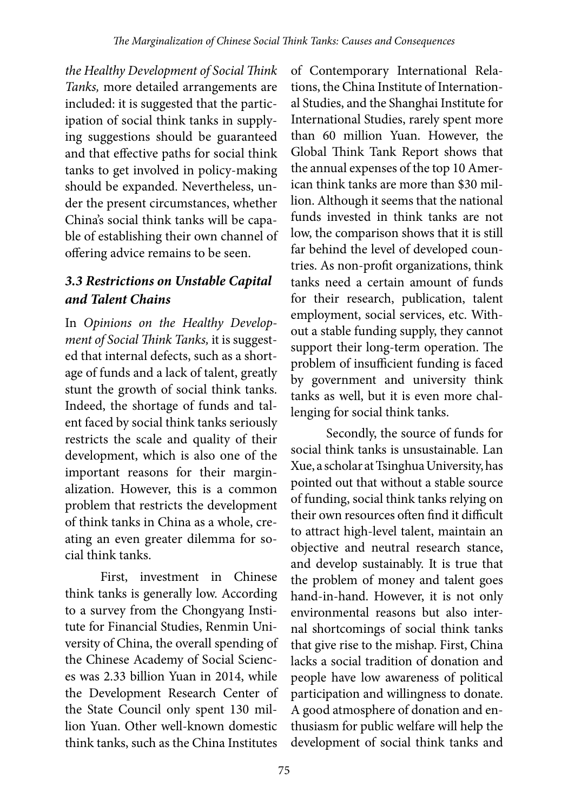*the Healthy Development of Social Think Tanks,* more detailed arrangements are included: it is suggested that the participation of social think tanks in supplying suggestions should be guaranteed and that effective paths for social think tanks to get involved in policy-making should be expanded. Nevertheless, under the present circumstances, whether China's social think tanks will be capable of establishing their own channel of offering advice remains to be seen.

## *3.3 Restrictions on Unstable Capital and Talent Chains*

In *Opinions on the Healthy Development of Social Think Tanks,* it is suggested that internal defects, such as a shortage of funds and a lack of talent, greatly stunt the growth of social think tanks. Indeed, the shortage of funds and talent faced by social think tanks seriously restricts the scale and quality of their development, which is also one of the important reasons for their marginalization. However, this is a common problem that restricts the development of think tanks in China as a whole, creating an even greater dilemma for social think tanks.

First, investment in Chinese think tanks is generally low. According to a survey from the Chongyang Institute for Financial Studies, Renmin University of China, the overall spending of the Chinese Academy of Social Sciences was 2.33 billion Yuan in 2014, while the Development Research Center of the State Council only spent 130 million Yuan. Other well-known domestic think tanks, such as the China Institutes

of Contemporary International Relations, the China Institute of International Studies, and the Shanghai Institute for International Studies, rarely spent more than 60 million Yuan. However, the Global Think Tank Report shows that the annual expenses of the top 10 American think tanks are more than \$30 million. Although it seems that the national funds invested in think tanks are not low, the comparison shows that it is still far behind the level of developed countries. As non-profit organizations, think tanks need a certain amount of funds for their research, publication, talent employment, social services, etc. Without a stable funding supply, they cannot support their long-term operation. The problem of insufficient funding is faced by government and university think tanks as well, but it is even more challenging for social think tanks.

Secondly, the source of funds for social think tanks is unsustainable. Lan Xue, a scholar at Tsinghua University, has pointed out that without a stable source of funding, social think tanks relying on their own resources often find it difficult to attract high-level talent, maintain an objective and neutral research stance, and develop sustainably. It is true that the problem of money and talent goes hand-in-hand. However, it is not only environmental reasons but also internal shortcomings of social think tanks that give rise to the mishap. First, China lacks a social tradition of donation and people have low awareness of political participation and willingness to donate. A good atmosphere of donation and enthusiasm for public welfare will help the development of social think tanks and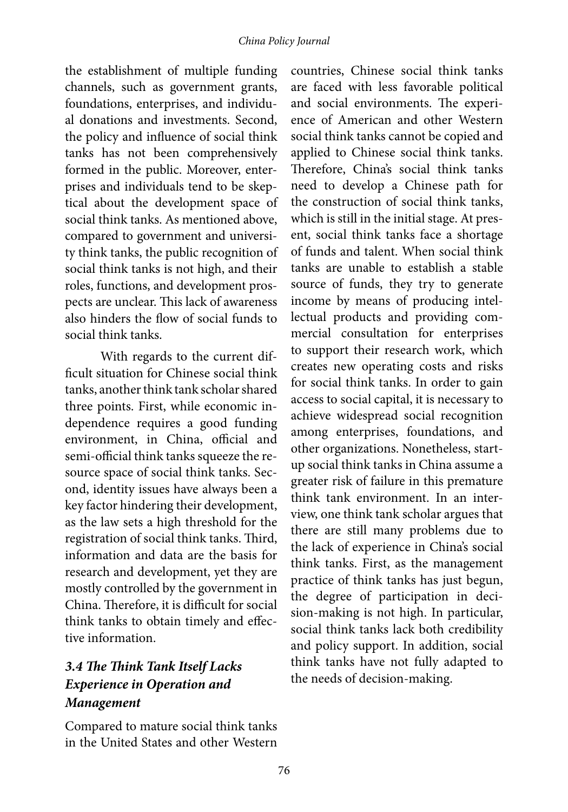the establishment of multiple funding channels, such as government grants, foundations, enterprises, and individual donations and investments. Second, the policy and influence of social think tanks has not been comprehensively formed in the public. Moreover, enterprises and individuals tend to be skeptical about the development space of social think tanks. As mentioned above, compared to government and university think tanks, the public recognition of social think tanks is not high, and their roles, functions, and development prospects are unclear. This lack of awareness also hinders the flow of social funds to social think tanks.

With regards to the current difficult situation for Chinese social think tanks, another think tank scholar shared three points. First, while economic independence requires a good funding environment, in China, official and semi-official think tanks squeeze the resource space of social think tanks. Second, identity issues have always been a key factor hindering their development, as the law sets a high threshold for the registration of social think tanks. Third, information and data are the basis for research and development, yet they are mostly controlled by the government in China. Therefore, it is difficult for social think tanks to obtain timely and effective information.

## *3.4 The Think Tank Itself Lacks Experience in Operation and Management*

Compared to mature social think tanks in the United States and other Western

countries, Chinese social think tanks are faced with less favorable political and social environments. The experience of American and other Western social think tanks cannot be copied and applied to Chinese social think tanks. Therefore, China's social think tanks need to develop a Chinese path for the construction of social think tanks, which is still in the initial stage. At present, social think tanks face a shortage of funds and talent. When social think tanks are unable to establish a stable source of funds, they try to generate income by means of producing intellectual products and providing commercial consultation for enterprises to support their research work, which creates new operating costs and risks for social think tanks. In order to gain access to social capital, it is necessary to achieve widespread social recognition among enterprises, foundations, and other organizations. Nonetheless, startup social think tanks in China assume a greater risk of failure in this premature think tank environment. In an interview, one think tank scholar argues that there are still many problems due to the lack of experience in China's social think tanks. First, as the management practice of think tanks has just begun, the degree of participation in decision-making is not high. In particular, social think tanks lack both credibility and policy support. In addition, social think tanks have not fully adapted to the needs of decision-making.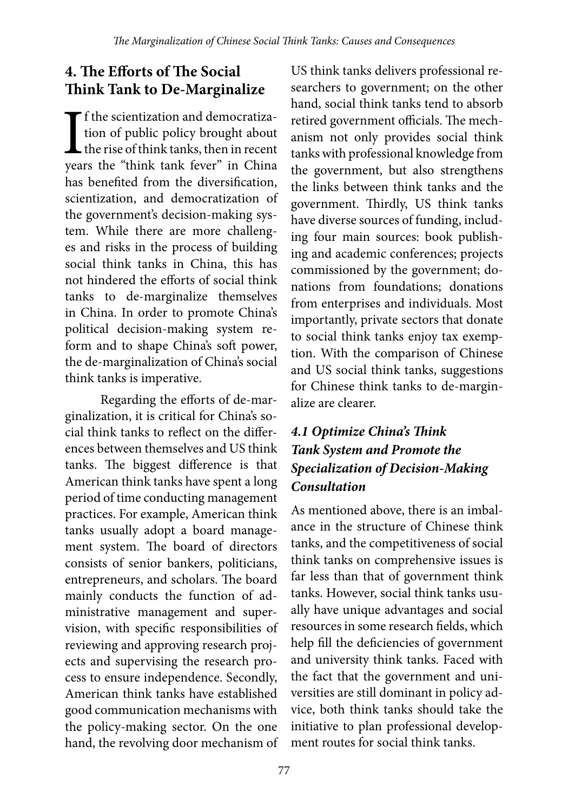# **4. The Efforts of The Social Think Tank to De-Marginalize**

If the scientization and democratiza-<br>tion of public policy brought about<br>the rise of think tanks, then in recent<br>years the "think tank fever" in China f the scientization and democratization of public policy brought about  $\mathsf L$  the rise of think tanks, then in recent has benefited from the diversification, scientization, and democratization of the government's decision-making system. While there are more challenges and risks in the process of building social think tanks in China, this has not hindered the efforts of social think tanks to de-marginalize themselves in China. In order to promote China's political decision-making system reform and to shape China's soft power, the de-marginalization of China's social think tanks is imperative.

Regarding the efforts of de-marginalization, it is critical for China's social think tanks to reflect on the differences between themselves and US think tanks. The biggest difference is that American think tanks have spent a long period of time conducting management practices. For example, American think tanks usually adopt a board management system. The board of directors consists of senior bankers, politicians, entrepreneurs, and scholars. The board mainly conducts the function of administrative management and supervision, with specific responsibilities of reviewing and approving research projects and supervising the research process to ensure independence. Secondly, American think tanks have established good communication mechanisms with the policy-making sector. On the one hand, the revolving door mechanism of

US think tanks delivers professional researchers to government; on the other hand, social think tanks tend to absorb retired government officials. The mechanism not only provides social think tanks with professional knowledge from the government, but also strengthens the links between think tanks and the government. Thirdly, US think tanks have diverse sources of funding, including four main sources: book publishing and academic conferences; projects commissioned by the government; donations from foundations; donations from enterprises and individuals. Most importantly, private sectors that donate to social think tanks enjoy tax exemption. With the comparison of Chinese and US social think tanks, suggestions for Chinese think tanks to de-marginalize are clearer.

# *4.1 Optimize China's Think Tank System and Promote the Specialization of Decision-Making Consultation*

As mentioned above, there is an imbalance in the structure of Chinese think tanks, and the competitiveness of social think tanks on comprehensive issues is far less than that of government think tanks. However, social think tanks usually have unique advantages and social resources in some research fields, which help fill the deficiencies of government and university think tanks. Faced with the fact that the government and universities are still dominant in policy advice, both think tanks should take the initiative to plan professional development routes for social think tanks.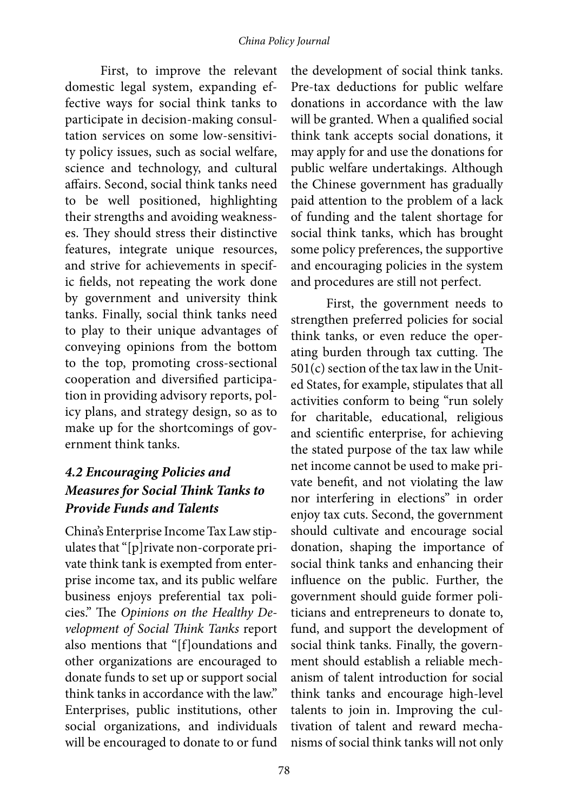First, to improve the relevant domestic legal system, expanding effective ways for social think tanks to participate in decision-making consultation services on some low-sensitivity policy issues, such as social welfare, science and technology, and cultural affairs. Second, social think tanks need to be well positioned, highlighting their strengths and avoiding weaknesses. They should stress their distinctive features, integrate unique resources, and strive for achievements in specific fields, not repeating the work done by government and university think tanks. Finally, social think tanks need to play to their unique advantages of conveying opinions from the bottom to the top, promoting cross-sectional cooperation and diversified participation in providing advisory reports, policy plans, and strategy design, so as to make up for the shortcomings of government think tanks.

### *4.2 Encouraging Policies and Measures for Social Think Tanks to Provide Funds and Talents*

China's Enterprise Income Tax Law stipulates that "[p]rivate non-corporate private think tank is exempted from enterprise income tax, and its public welfare business enjoys preferential tax policies." The *Opinions on the Healthy Development of Social Think Tanks* report also mentions that "[f]oundations and other organizations are encouraged to donate funds to set up or support social think tanks in accordance with the law." Enterprises, public institutions, other social organizations, and individuals will be encouraged to donate to or fund

the development of social think tanks. Pre-tax deductions for public welfare donations in accordance with the law will be granted. When a qualified social think tank accepts social donations, it may apply for and use the donations for public welfare undertakings. Although the Chinese government has gradually paid attention to the problem of a lack of funding and the talent shortage for social think tanks, which has brought some policy preferences, the supportive and encouraging policies in the system and procedures are still not perfect.

First, the government needs to strengthen preferred policies for social think tanks, or even reduce the operating burden through tax cutting. The 501(c) section of the tax law in the United States, for example, stipulates that all activities conform to being "run solely for charitable, educational, religious and scientific enterprise, for achieving the stated purpose of the tax law while net income cannot be used to make private benefit, and not violating the law nor interfering in elections" in order enjoy tax cuts. Second, the government should cultivate and encourage social donation, shaping the importance of social think tanks and enhancing their influence on the public. Further, the government should guide former politicians and entrepreneurs to donate to, fund, and support the development of social think tanks. Finally, the government should establish a reliable mechanism of talent introduction for social think tanks and encourage high-level talents to join in. Improving the cultivation of talent and reward mechanisms of social think tanks will not only